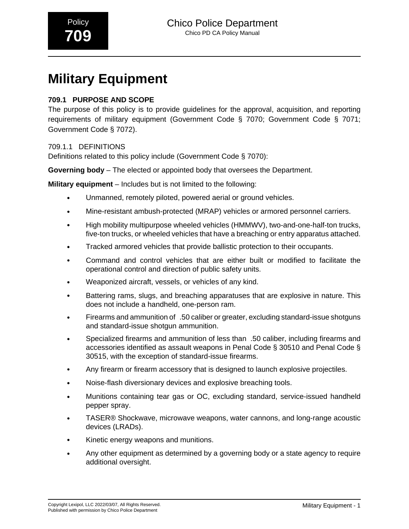# **Military Equipment**

# **709.1 PURPOSE AND SCOPE**

The purpose of this policy is to provide guidelines for the approval, acquisition, and reporting requirements of military equipment (Government Code § 7070; Government Code § 7071; Government Code § 7072).

#### 709.1.1 DEFINITIONS

Definitions related to this policy include (Government Code § 7070):

**Governing body** – The elected or appointed body that oversees the Department.

**Military equipment** – Includes but is not limited to the following:

- Unmanned, remotely piloted, powered aerial or ground vehicles.
- Mine-resistant ambush-protected (MRAP) vehicles or armored personnel carriers.
- High mobility multipurpose wheeled vehicles (HMMWV), two-and-one-half-ton trucks, five-ton trucks, or wheeled vehicles that have a breaching or entry apparatus attached.
- Tracked armored vehicles that provide ballistic protection to their occupants.
- Command and control vehicles that are either built or modified to facilitate the operational control and direction of public safety units.
- Weaponized aircraft, vessels, or vehicles of any kind.
- Battering rams, slugs, and breaching apparatuses that are explosive in nature. This does not include a handheld, one-person ram.
- Firearms and ammunition of\_.50 caliber or greater, excluding standard-issue shotguns and standard-issue shotgun ammunition.
- Specialized firearms and ammunition of less than\_.50 caliber, including firearms and accessories identified as assault weapons in Penal Code § 30510 and Penal Code § 30515, with the exception of standard-issue firearms.
- Any firearm or firearm accessory that is designed to launch explosive projectiles.
- Noise-flash diversionary devices and explosive breaching tools.
- Munitions containing tear gas or OC, excluding standard, service-issued handheld pepper spray.
- TASER® Shockwave, microwave weapons, water cannons, and long-range acoustic devices (LRADs).
- Kinetic energy weapons and munitions.
- Any other equipment as determined by a governing body or a state agency to require additional oversight.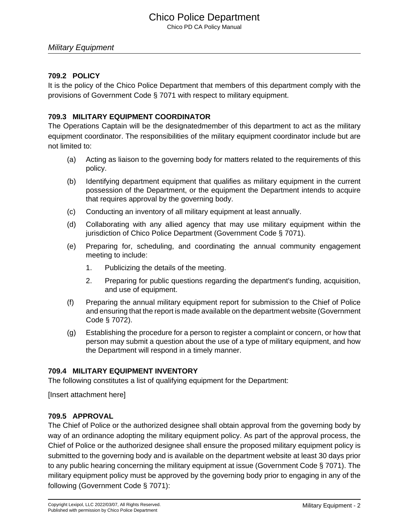# Chico Police Department

Chico PD CA Policy Manual

#### Military Equipment

#### **709.2 POLICY**

It is the policy of the Chico Police Department that members of this department comply with the provisions of Government Code § 7071 with respect to military equipment.

#### **709.3 MILITARY EQUIPMENT COORDINATOR**

The Operations Captain will be the designatedmember of this department to act as the military equipment coordinator. The responsibilities of the military equipment coordinator include but are not limited to:

- (a) Acting as liaison to the governing body for matters related to the requirements of this policy.
- (b) Identifying department equipment that qualifies as military equipment in the current possession of the Department, or the equipment the Department intends to acquire that requires approval by the governing body.
- (c) Conducting an inventory of all military equipment at least annually.
- (d) Collaborating with any allied agency that may use military equipment within the jurisdiction of Chico Police Department (Government Code § 7071).
- (e) Preparing for, scheduling, and coordinating the annual community engagement meeting to include:
	- 1. Publicizing the details of the meeting.
	- 2. Preparing for public questions regarding the department's funding, acquisition, and use of equipment.
- (f) Preparing the annual military equipment report for submission to the Chief of Police and ensuring that the report is made available on the department website (Government Code § 7072).
- (g) Establishing the procedure for a person to register a complaint or concern, or how that person may submit a question about the use of a type of military equipment, and how the Department will respond in a timely manner.

#### **709.4 MILITARY EQUIPMENT INVENTORY**

The following constitutes a list of qualifying equipment for the Department:

[Insert attachment here]

#### **709.5 APPROVAL**

The Chief of Police or the authorized designee shall obtain approval from the governing body by way of an ordinance adopting the military equipment policy. As part of the approval process, the Chief of Police or the authorized designee shall ensure the proposed military equipment policy is submitted to the governing body and is available on the department website at least 30 days prior to any public hearing concerning the military equipment at issue (Government Code § 7071). The military equipment policy must be approved by the governing body prior to engaging in any of the following (Government Code § 7071):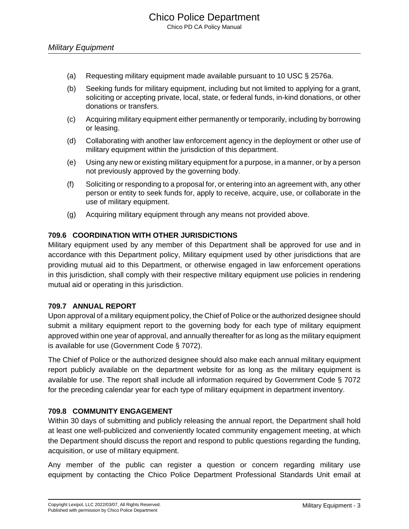- (a) Requesting military equipment made available pursuant to 10 USC § 2576a.
- (b) Seeking funds for military equipment, including but not limited to applying for a grant, soliciting or accepting private, local, state, or federal funds, in-kind donations, or other donations or transfers.
- (c) Acquiring military equipment either permanently or temporarily, including by borrowing or leasing.
- (d) Collaborating with another law enforcement agency in the deployment or other use of military equipment within the jurisdiction of this department.
- (e) Using any new or existing military equipment for a purpose, in a manner, or by a person not previously approved by the governing body.
- (f) Soliciting or responding to a proposal for, or entering into an agreement with, any other person or entity to seek funds for, apply to receive, acquire, use, or collaborate in the use of military equipment.
- (g) Acquiring military equipment through any means not provided above.

#### **709.6 COORDINATION WITH OTHER JURISDICTIONS**

Military equipment used by any member of this Department shall be approved for use and in accordance with this Department policy, Military equipment used by other jurisdictions that are providing mutual aid to this Department, or otherwise engaged in law enforcement operations in this jurisdiction, shall comply with their respective military equipment use policies in rendering mutual aid or operating in this jurisdiction.

#### **709.7 ANNUAL REPORT**

Upon approval of a military equipment policy, the Chief of Police or the authorized designee should submit a military equipment report to the governing body for each type of military equipment approved within one year of approval, and annually thereafter for as long as the military equipment is available for use (Government Code § 7072).

The Chief of Police or the authorized designee should also make each annual military equipment report publicly available on the department website for as long as the military equipment is available for use. The report shall include all information required by Government Code § 7072 for the preceding calendar year for each type of military equipment in department inventory.

#### **709.8 COMMUNITY ENGAGEMENT**

Within 30 days of submitting and publicly releasing the annual report, the Department shall hold at least one well-publicized and conveniently located community engagement meeting, at which the Department should discuss the report and respond to public questions regarding the funding, acquisition, or use of military equipment.

Any member of the public can register a question or concern regarding military use equipment by contacting the Chico Police Department Professional Standards Unit email at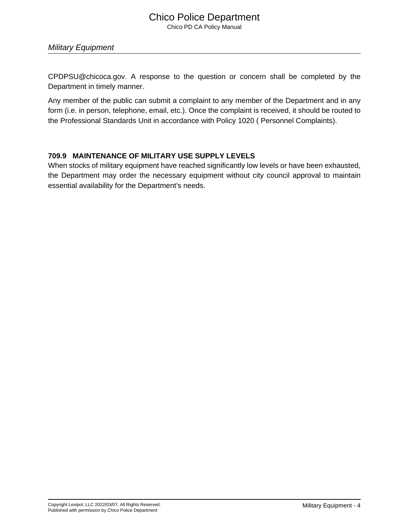Military Equipment

CPDPSU@chicoca.gov. A response to the question or concern shall be completed by the Department in timely manner.

Any member of the public can submit a complaint to any member of the Department and in any form (i.e. in person, telephone, email, etc.). Once the complaint is received, it should be routed to the Professional Standards Unit in accordance with Policy 1020 ( Personnel Complaints).

#### **709.9 MAINTENANCE OF MILITARY USE SUPPLY LEVELS**

When stocks of military equipment have reached significantly low levels or have been exhausted, the Department may order the necessary equipment without city council approval to maintain essential availability for the Department's needs.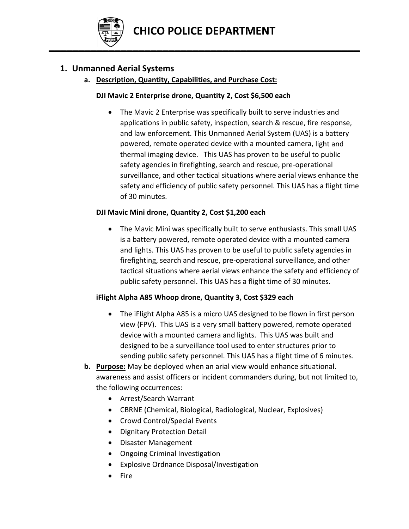

# **1. Unmanned Aerial Systems**

# **a. Description, Quantity, Capabilities, and Purchase Cost:**

## **DJI Mavic 2 Enterprise drone, Quantity 2, Cost \$6,500 each**

 The Mavic 2 Enterprise was specifically built to serve industries and applications in public safety, inspection, search & rescue, fire response, and law enforcement. This Unmanned Aerial System (UAS) is a battery powered, remote operated device with a mounted camera, light and thermal imaging device. This UAS has proven to be useful to public safety agencies in firefighting, search and rescue, pre‐operational surveillance, and other tactical situations where aerial views enhance the safety and efficiency of public safety personnel. This UAS has a flight time of 30 minutes.

#### **DJI Mavic Mini drone, Quantity 2, Cost \$1,200 each**

 The Mavic Mini was specifically built to serve enthusiasts. This small UAS is a battery powered, remote operated device with a mounted camera and lights. This UAS has proven to be useful to public safety agencies in firefighting, search and rescue, pre‐operational surveillance, and other tactical situations where aerial views enhance the safety and efficiency of public safety personnel. This UAS has a flight time of 30 minutes.

# **iFlight Alpha A85 Whoop drone, Quantity 3, Cost \$329 each**

- The iFlight Alpha A85 is a micro UAS designed to be flown in first person view (FPV). This UAS is a very small battery powered, remote operated device with a mounted camera and lights. This UAS was built and designed to be a surveillance tool used to enter structures prior to sending public safety personnel. This UAS has a flight time of 6 minutes.
- **b. Purpose:** May be deployed when an arial view would enhance situational. awareness and assist officers or incident commanders during, but not limited to, the following occurrences:
	- Arrest/Search Warrant
	- CBRNE (Chemical, Biological, Radiological, Nuclear, Explosives)
	- Crowd Control/Special Events
	- Dignitary Protection Detail
	- Disaster Management
	- Ongoing Criminal Investigation
	- Explosive Ordnance Disposal/Investigation
	- Fire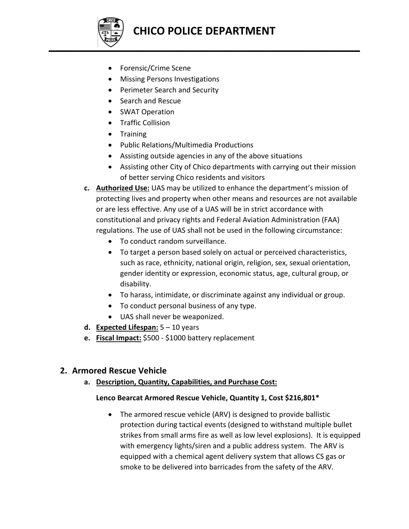

- Forensic/Crime Scene
- Missing Persons Investigations
- Perimeter Search and Security
- Search and Rescue
- SWAT Operation
- Traffic Collision
- Training
- Public Relations/Multimedia Productions
- Assisting outside agencies in any of the above situations
- Assisting other City of Chico departments with carrying out their mission of better serving Chico residents and visitors
- **c. Authorized Use:** UAS may be utilized to enhance the department's mission of protecting lives and property when other means and resources are not available or are less effective. Any use of a UAS will be in strict accordance with constitutional and privacy rights and Federal Aviation Administration (FAA) regulations. The use of UAS shall not be used in the following circumstance:
	- To conduct random surveillance.
	- To target a person based solely on actual or perceived characteristics, such as race, ethnicity, national origin, religion, sex, sexual orientation, gender identity or expression, economic status, age, cultural group, or disability.
	- To harass, intimidate, or discriminate against any individual or group.
	- To conduct personal business of any type.
	- UAS shall never be weaponized.
- **d. Expected Lifespan:** 5 10 years
- **e. Fiscal Impact:** \$500 ‐ \$1000 battery replacement

# **2. Armored Rescue Vehicle**

**a. Description, Quantity, Capabilities, and Purchase Cost:**

# **Lenco Bearcat Armored Rescue Vehicle, Quantity 1, Cost \$216,801\***

 The armored rescue vehicle (ARV) is designed to provide ballistic protection during tactical events (designed to withstand multiple bullet strikes from small arms fire as well as low level explosions). It is equipped with emergency lights/siren and a public address system. The ARV is equipped with a chemical agent delivery system that allows CS gas or smoke to be delivered into barricades from the safety of the ARV.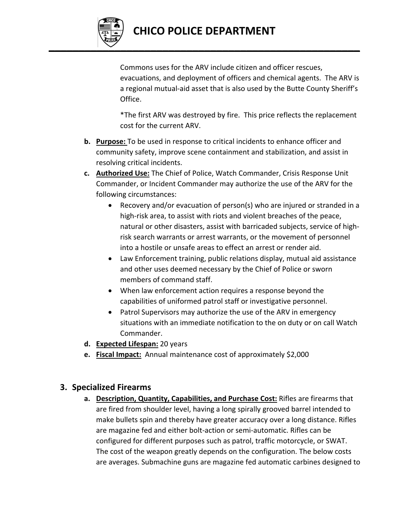

Commons uses for the ARV include citizen and officer rescues, evacuations, and deployment of officers and chemical agents. The ARV is a regional mutual‐aid asset that is also used by the Butte County Sheriff's Office.

\*The first ARV was destroyed by fire. This price reflects the replacement cost for the current ARV.

- **b. Purpose:** To be used in response to critical incidents to enhance officer and community safety, improve scene containment and stabilization, and assist in resolving critical incidents.
- **c. Authorized Use:** The Chief of Police, Watch Commander, Crisis Response Unit Commander, or Incident Commander may authorize the use of the ARV for the following circumstances:
	- Recovery and/or evacuation of person(s) who are injured or stranded in a high-risk area, to assist with riots and violent breaches of the peace, natural or other disasters, assist with barricaded subjects, service of high‐ risk search warrants or arrest warrants, or the movement of personnel into a hostile or unsafe areas to effect an arrest or render aid.
	- Law Enforcement training, public relations display, mutual aid assistance and other uses deemed necessary by the Chief of Police or sworn members of command staff.
	- When law enforcement action requires a response beyond the capabilities of uniformed patrol staff or investigative personnel.
	- Patrol Supervisors may authorize the use of the ARV in emergency situations with an immediate notification to the on duty or on call Watch Commander.
- **d. Expected Lifespan:** 20 years
- **e. Fiscal Impact:** Annual maintenance cost of approximately \$2,000

# **3. Specialized Firearms**

**a. Description, Quantity, Capabilities, and Purchase Cost:** Rifles are firearms that are fired from shoulder level, having a long spirally grooved barrel intended to make bullets spin and thereby have greater accuracy over a long distance. Rifles are magazine fed and either bolt‐action or semi‐automatic. Rifles can be configured for different purposes such as patrol, traffic motorcycle, or SWAT. The cost of the weapon greatly depends on the configuration. The below costs are averages. Submachine guns are magazine fed automatic carbines designed to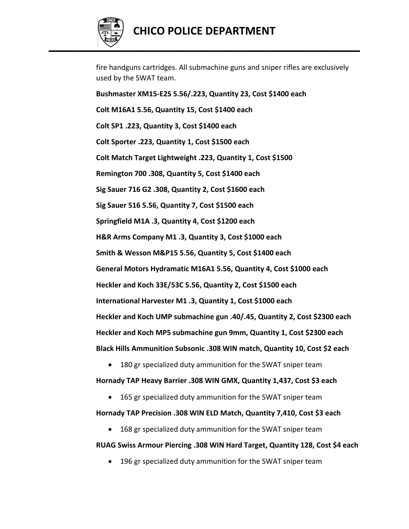

fire handguns cartridges. All submachine guns and sniper rifles are exclusively used by the SWAT team.

**Bushmaster XM15‐E2S 5.56/.223, Quantity 23, Cost \$1400 each Colt M16A1 5.56, Quantity 15, Cost \$1400 each Colt SP1 .223, Quantity 3, Cost \$1400 each Colt Sporter .223, Quantity 1, Cost \$1500 each Colt Match Target Lightweight .223, Quantity 1, Cost \$1500 Remington 700 .308, Quantity 5, Cost \$1400 each Sig Sauer 716 G2 .308, Quantity 2, Cost \$1600 each Sig Sauer 516 5.56, Quantity 7, Cost \$1500 each Springfield M1A .3, Quantity 4, Cost \$1200 each H&R Arms Company M1 .3, Quantity 3, Cost \$1000 each Smith & Wesson M&P15 5.56, Quantity 5, Cost \$1400 each General Motors Hydramatic M16A1 5.56, Quantity 4, Cost \$1000 each Heckler and Koch 33E/53C 5.56, Quantity 2, Cost \$1500 each International Harvester M1 .3, Quantity 1, Cost \$1000 each Heckler and Koch UMP submachine gun .40/.45, Quantity 2, Cost \$2300 each Heckler and Koch MP5 submachine gun 9mm, Quantity 1, Cost \$2300 each Black Hills Ammunition Subsonic .308 WIN match, Quantity 10, Cost \$2 each**

180 gr specialized duty ammunition for the SWAT sniper team

**Hornady TAP Heavy Barrier .308 WIN GMX, Quantity 1,437, Cost \$3 each**

165 gr specialized duty ammunition for the SWAT sniper team

**Hornady TAP Precision .308 WIN ELD Match, Quantity 7,410, Cost \$3 each**

168 gr specialized duty ammunition for the SWAT sniper team

# **RUAG Swiss Armour Piercing .308 WIN Hard Target, Quantity 128, Cost \$4 each**

196 gr specialized duty ammunition for the SWAT sniper team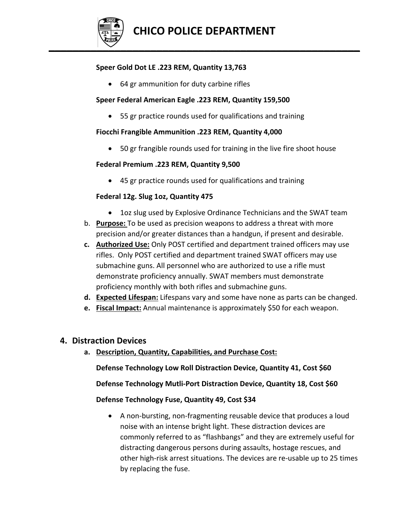

## **Speer Gold Dot LE .223 REM, Quantity 13,763**

64 gr ammunition for duty carbine rifles

#### **Speer Federal American Eagle .223 REM, Quantity 159,500**

55 gr practice rounds used for qualifications and training

#### **Fiocchi Frangible Ammunition .223 REM, Quantity 4,000**

50 gr frangible rounds used for training in the live fire shoot house

#### **Federal Premium .223 REM, Quantity 9,500**

45 gr practice rounds used for qualifications and training

#### **Federal 12g. Slug 1oz, Quantity 475**

- 1oz slug used by Explosive Ordinance Technicians and the SWAT team
- b. **Purpose:** To be used as precision weapons to address a threat with more precision and/or greater distances than a handgun, if present and desirable.
- **c. Authorized Use:** Only POST certified and department trained officers may use rifles. Only POST certified and department trained SWAT officers may use submachine guns. All personnel who are authorized to use a rifle must demonstrate proficiency annually. SWAT members must demonstrate proficiency monthly with both rifles and submachine guns.
- **d. Expected Lifespan:** Lifespans vary and some have none as parts can be changed.
- **e. Fiscal Impact:** Annual maintenance is approximately \$50 for each weapon.

# **4. Distraction Devices**

**a. Description, Quantity, Capabilities, and Purchase Cost:**

**Defense Technology Low Roll Distraction Device, Quantity 41, Cost \$60**

**Defense Technology Mutli‐Port Distraction Device, Quantity 18, Cost \$60**

#### **Defense Technology Fuse, Quantity 49, Cost \$34**

● A non-bursting, non-fragmenting reusable device that produces a loud noise with an intense bright light. These distraction devices are commonly referred to as "flashbangs" and they are extremely useful for distracting dangerous persons during assaults, hostage rescues, and other high‐risk arrest situations. The devices are re‐usable up to 25 times by replacing the fuse.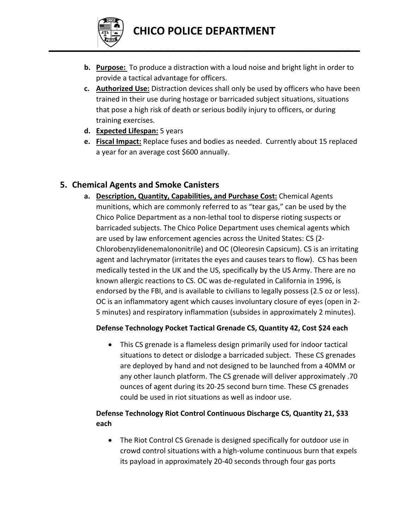

- **b. Purpose:** To produce a distraction with a loud noise and bright light in order to provide a tactical advantage for officers.
- **c. Authorized Use:** Distraction devices shall only be used by officers who have been trained in their use during hostage or barricaded subject situations, situations that pose a high risk of death or serious bodily injury to officers, or during training exercises.
- **d. Expected Lifespan:** 5 years
- **e. Fiscal Impact:** Replace fuses and bodies as needed. Currently about 15 replaced a year for an average cost \$600 annually.

# **5. Chemical Agents and Smoke Canisters**

**a. Description, Quantity, Capabilities, and Purchase Cost:** Chemical Agents munitions, which are commonly referred to as "tear gas," can be used by the Chico Police Department as a non‐lethal tool to disperse rioting suspects or barricaded subjects. The Chico Police Department uses chemical agents which are used by law enforcement agencies across the United States: CS (2‐ Chlorobenzylidenemalononitrile) and OC (Oleoresin Capsicum). CS is an irritating agent and lachrymator (irritates the eyes and causes tears to flow). CS has been medically tested in the UK and the US, specifically by the US Army. There are no known allergic reactions to CS. OC was de‐regulated in California in 1996, is endorsed by the FBI, and is available to civilians to legally possess (2.5 oz or less). OC is an inflammatory agent which causes involuntary closure of eyes (open in 2‐ 5 minutes) and respiratory inflammation (subsides in approximately 2 minutes).

# **Defense Technology Pocket Tactical Grenade CS, Quantity 42, Cost \$24 each**

 This CS grenade is a flameless design primarily used for indoor tactical situations to detect or dislodge a barricaded subject. These CS grenades are deployed by hand and not designed to be launched from a 40MM or any other launch platform. The CS grenade will deliver approximately .70 ounces of agent during its 20‐25 second burn time. These CS grenades could be used in riot situations as well as indoor use.

# **Defense Technology Riot Control Continuous Discharge CS, Quantity 21, \$33 each**

 The Riot Control CS Grenade is designed specifically for outdoor use in crowd control situations with a high‐volume continuous burn that expels its payload in approximately 20‐40 seconds through four gas ports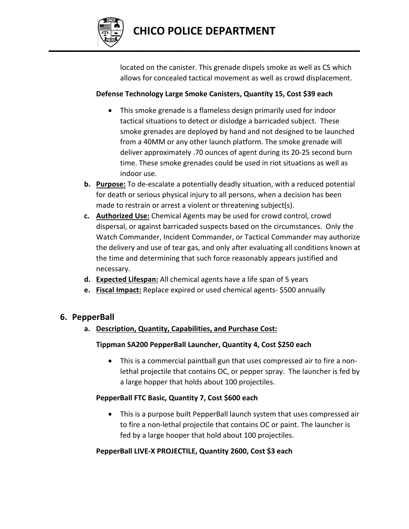

located on the canister. This grenade dispels smoke as well as CS which allows for concealed tactical movement as well as crowd displacement.

# **Defense Technology Large Smoke Canisters, Quantity 15, Cost \$39 each**

- This smoke grenade is a flameless design primarily used for indoor tactical situations to detect or dislodge a barricaded subject. These smoke grenades are deployed by hand and not designed to be launched from a 40MM or any other launch platform. The smoke grenade will deliver approximately .70 ounces of agent during its 20‐25 second burn time. These smoke grenades could be used in riot situations as well as indoor use.
- **b. Purpose:** To de‐escalate a potentially deadly situation, with a reduced potential for death or serious physical injury to all persons, when a decision has been made to restrain or arrest a violent or threatening subject(s).
- **c. Authorized Use:** Chemical Agents may be used for crowd control, crowd dispersal, or against barricaded suspects based on the circumstances. Only the Watch Commander, Incident Commander, or Tactical Commander may authorize the delivery and use of tear gas, and only after evaluating all conditions known at the time and determining that such force reasonably appears justified and necessary.
- **d. Expected Lifespan:** All chemical agents have a life span of 5 years
- **e. Fiscal Impact:** Replace expired or used chemical agents‐ \$500 annually

# **6. PepperBall**

**a. Description, Quantity, Capabilities, and Purchase Cost:**

# **Tippman SA200 PepperBall Launcher, Quantity 4, Cost \$250 each**

● This is a commercial paintball gun that uses compressed air to fire a nonlethal projectile that contains OC, or pepper spray. The launcher is fed by a large hopper that holds about 100 projectiles.

# **PepperBall FTC Basic, Quantity 7, Cost \$600 each**

 This is a purpose built PepperBall launch system that uses compressed air to fire a non‐lethal projectile that contains OC or paint. The launcher is fed by a large hooper that hold about 100 projectiles.

# **PepperBall LIVE‐X PROJECTILE, Quantity 2600, Cost \$3 each**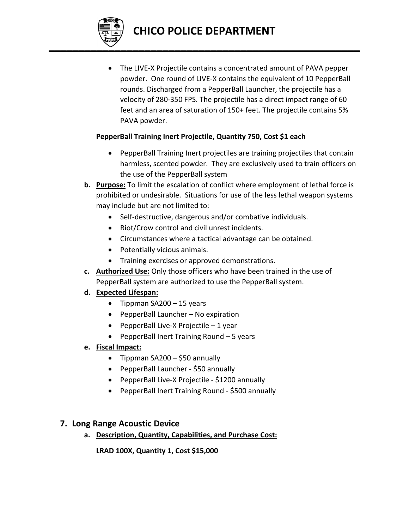

 The LIVE‐X Projectile contains a concentrated amount of PAVA pepper powder. One round of LIVE‐X contains the equivalent of 10 PepperBall rounds. Discharged from a PepperBall Launcher, the projectile has a velocity of 280‐350 FPS. The projectile has a direct impact range of 60 feet and an area of saturation of 150+ feet. The projectile contains 5% PAVA powder.

# **PepperBall Training Inert Projectile, Quantity 750, Cost \$1 each**

- PepperBall Training Inert projectiles are training projectiles that contain harmless, scented powder. They are exclusively used to train officers on the use of the PepperBall system
- **b. Purpose:** To limit the escalation of conflict where employment of lethal force is prohibited or undesirable. Situations for use of the less lethal weapon systems may include but are not limited to:
	- Self-destructive, dangerous and/or combative individuals.
	- Riot/Crow control and civil unrest incidents.
	- Circumstances where a tactical advantage can be obtained.
	- Potentially vicious animals.
	- Training exercises or approved demonstrations.
- **c. Authorized Use:** Only those officers who have been trained in the use of PepperBall system are authorized to use the PepperBall system.

# **d. Expected Lifespan:**

- $\bullet$  Tippman SA200 15 years
- PepperBall Launcher No expiration
- PepperBall Live-X Projectile 1 year
- PepperBall Inert Training Round 5 years
- **e. Fiscal Impact:**
	- Tippman  $SA200 $50$  annually
	- PepperBall Launcher \$50 annually
	- PepperBall Live-X Projectile \$1200 annually
	- PepperBall Inert Training Round \$500 annually

# **7. Long Range Acoustic Device**

**a. Description, Quantity, Capabilities, and Purchase Cost:**

**LRAD 100X, Quantity 1, Cost \$15,000**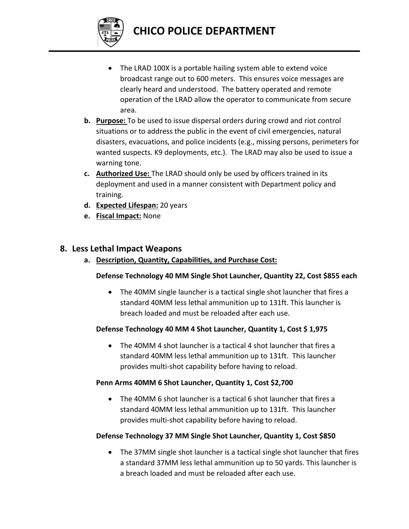

- The LRAD 100X is a portable hailing system able to extend voice broadcast range out to 600 meters. This ensures voice messages are clearly heard and understood. The battery operated and remote operation of the LRAD allow the operator to communicate from secure area.
- **b. Purpose:** To be used to issue dispersal orders during crowd and riot control situations or to address the public in the event of civil emergencies, natural disasters, evacuations, and police incidents (e.g., missing persons, perimeters for wanted suspects. K9 deployments, etc.). The LRAD may also be used to issue a warning tone.
- **c. Authorized Use:** The LRAD should only be used by officers trained in its deployment and used in a manner consistent with Department policy and training.
- **d. Expected Lifespan:** 20 years
- **e. Fiscal Impact:** None

# **8. Less Lethal Impact Weapons**

**a. Description, Quantity, Capabilities, and Purchase Cost:**

#### **Defense Technology 40 MM Single Shot Launcher, Quantity 22, Cost \$855 each**

 The 40MM single launcher is a tactical single shot launcher that fires a standard 40MM less lethal ammunition up to 131ft. This launcher is breach loaded and must be reloaded after each use.

#### **Defense Technology 40 MM 4 Shot Launcher, Quantity 1, Cost \$ 1,975**

 The 40MM 4 shot launcher is a tactical 4 shot launcher that fires a standard 40MM less lethal ammunition up to 131ft. This launcher provides multi‐shot capability before having to reload.

#### **Penn Arms 40MM 6 Shot Launcher, Quantity 1, Cost \$2,700**

 The 40MM 6 shot launcher is a tactical 6 shot launcher that fires a standard 40MM less lethal ammunition up to 131ft. This launcher provides multi‐shot capability before having to reload.

#### **Defense Technology 37 MM Single Shot Launcher, Quantity 1, Cost \$850**

 The 37MM single shot launcher is a tactical single shot launcher that fires a standard 37MM less lethal ammunition up to 50 yards. This launcher is a breach loaded and must be reloaded after each use.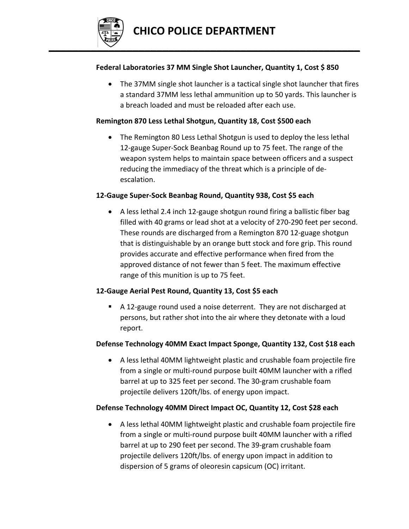

#### **Federal Laboratories 37 MM Single Shot Launcher, Quantity 1, Cost \$ 850**

 The 37MM single shot launcher is a tactical single shot launcher that fires a standard 37MM less lethal ammunition up to 50 yards. This launcher is a breach loaded and must be reloaded after each use.

## **Remington 870 Less Lethal Shotgun, Quantity 18, Cost \$500 each**

• The Remington 80 Less Lethal Shotgun is used to deploy the less lethal 12‐gauge Super‐Sock Beanbag Round up to 75 feet. The range of the weapon system helps to maintain space between officers and a suspect reducing the immediacy of the threat which is a principle of de‐ escalation.

#### **12‐Gauge Super‐Sock Beanbag Round, Quantity 938, Cost \$5 each**

 A less lethal 2.4 inch 12‐gauge shotgun round firing a ballistic fiber bag filled with 40 grams or lead shot at a velocity of 270‐290 feet per second. These rounds are discharged from a Remington 870 12‐guage shotgun that is distinguishable by an orange butt stock and fore grip. This round provides accurate and effective performance when fired from the approved distance of not fewer than 5 feet. The maximum effective range of this munition is up to 75 feet.

# **12‐Gauge Aerial Pest Round, Quantity 13, Cost \$5 each**

■ A 12-gauge round used a noise deterrent. They are not discharged at persons, but rather shot into the air where they detonate with a loud report.

# **Defense Technology 40MM Exact Impact Sponge, Quantity 132, Cost \$18 each**

 A less lethal 40MM lightweight plastic and crushable foam projectile fire from a single or multi-round purpose built 40MM launcher with a rifled barrel at up to 325 feet per second. The 30‐gram crushable foam projectile delivers 120ft/lbs. of energy upon impact.

# **Defense Technology 40MM Direct Impact OC, Quantity 12, Cost \$28 each**

 A less lethal 40MM lightweight plastic and crushable foam projectile fire from a single or multi-round purpose built 40MM launcher with a rifled barrel at up to 290 feet per second. The 39‐gram crushable foam projectile delivers 120ft/lbs. of energy upon impact in addition to dispersion of 5 grams of oleoresin capsicum (OC) irritant.